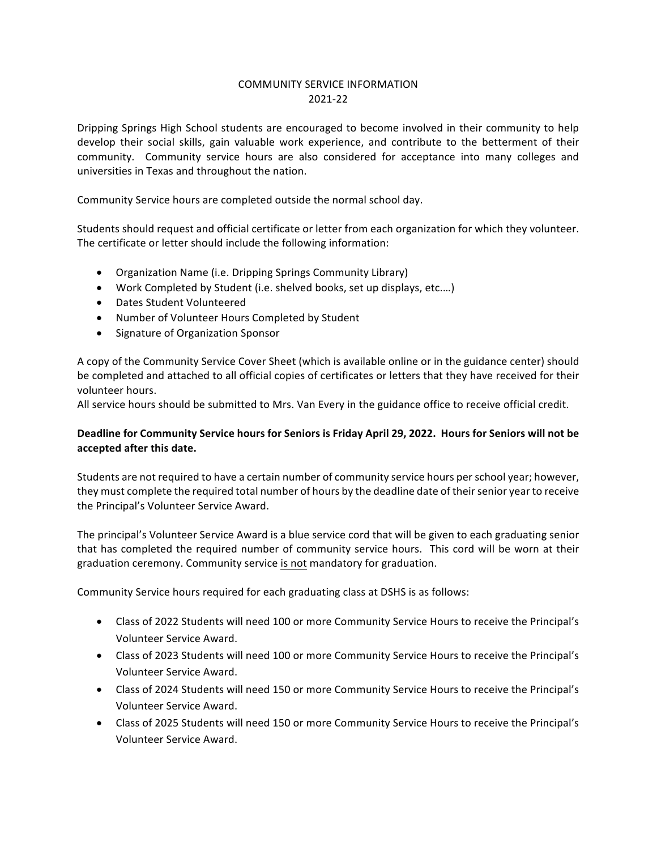#### COMMUNITY SERVICE INFORMATION 2021-22

Dripping Springs High School students are encouraged to become involved in their community to help develop their social skills, gain valuable work experience, and contribute to the betterment of their community. Community service hours are also considered for acceptance into many colleges and universities in Texas and throughout the nation.

Community Service hours are completed outside the normal school day.

Students should request and official certificate or letter from each organization for which they volunteer. The certificate or letter should include the following information:

- Organization Name (i.e. Dripping Springs Community Library)
- Work Completed by Student (i.e. shelved books, set up displays, etc....)
- Dates Student Volunteered
- Number of Volunteer Hours Completed by Student
- Signature of Organization Sponsor

A copy of the Community Service Cover Sheet (which is available online or in the guidance center) should be completed and attached to all official copies of certificates or letters that they have received for their volunteer hours.

All service hours should be submitted to Mrs. Van Every in the guidance office to receive official credit.

#### Deadline for Community Service hours for Seniors is Friday April 29, 2022. Hours for Seniors will not be accepted after this date.

Students are not required to have a certain number of community service hours per school year; however, they must complete the required total number of hours by the deadline date of their senior year to receive the Principal's Volunteer Service Award.

The principal's Volunteer Service Award is a blue service cord that will be given to each graduating senior that has completed the required number of community service hours. This cord will be worn at their graduation ceremony. Community service is not mandatory for graduation.

Community Service hours required for each graduating class at DSHS is as follows:

- Class of 2022 Students will need 100 or more Community Service Hours to receive the Principal's Volunteer Service Award.
- Class of 2023 Students will need 100 or more Community Service Hours to receive the Principal's Volunteer Service Award.
- Class of 2024 Students will need 150 or more Community Service Hours to receive the Principal's Volunteer Service Award.
- Class of 2025 Students will need 150 or more Community Service Hours to receive the Principal's Volunteer Service Award.